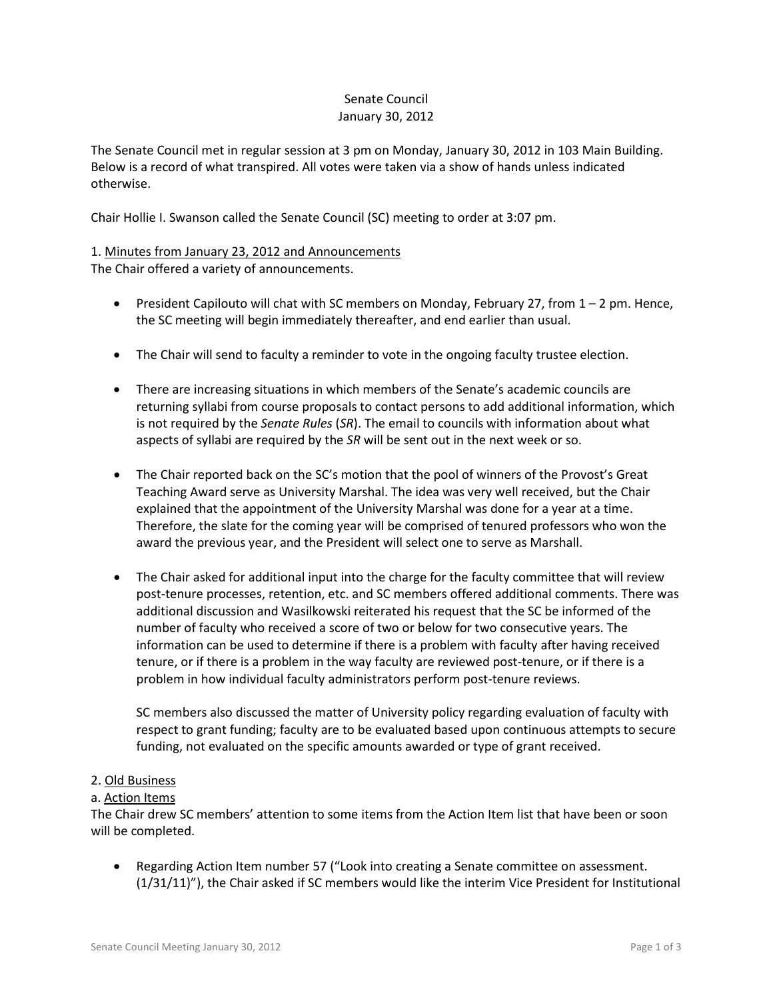# Senate Council January 30, 2012

The Senate Council met in regular session at 3 pm on Monday, January 30, 2012 in 103 Main Building. Below is a record of what transpired. All votes were taken via a show of hands unless indicated otherwise.

Chair Hollie I. Swanson called the Senate Council (SC) meeting to order at 3:07 pm.

# 1. Minutes from January 23, 2012 and Announcements

The Chair offered a variety of announcements.

- President Capilouto will chat with SC members on Monday, February 27, from  $1 2$  pm. Hence, the SC meeting will begin immediately thereafter, and end earlier than usual.
- The Chair will send to faculty a reminder to vote in the ongoing faculty trustee election.
- There are increasing situations in which members of the Senate's academic councils are returning syllabi from course proposals to contact persons to add additional information, which is not required by the *Senate Rules* (*SR*). The email to councils with information about what aspects of syllabi are required by the *SR* will be sent out in the next week or so.
- The Chair reported back on the SC's motion that the pool of winners of the Provost's Great Teaching Award serve as University Marshal. The idea was very well received, but the Chair explained that the appointment of the University Marshal was done for a year at a time. Therefore, the slate for the coming year will be comprised of tenured professors who won the award the previous year, and the President will select one to serve as Marshall.
- The Chair asked for additional input into the charge for the faculty committee that will review post-tenure processes, retention, etc. and SC members offered additional comments. There was additional discussion and Wasilkowski reiterated his request that the SC be informed of the number of faculty who received a score of two or below for two consecutive years. The information can be used to determine if there is a problem with faculty after having received tenure, or if there is a problem in the way faculty are reviewed post-tenure, or if there is a problem in how individual faculty administrators perform post-tenure reviews.

SC members also discussed the matter of University policy regarding evaluation of faculty with respect to grant funding; faculty are to be evaluated based upon continuous attempts to secure funding, not evaluated on the specific amounts awarded or type of grant received.

### 2. Old Business

### a. Action Items

The Chair drew SC members' attention to some items from the Action Item list that have been or soon will be completed.

• Regarding Action Item number 57 ("Look into creating a Senate committee on assessment. (1/31/11)"), the Chair asked if SC members would like the interim Vice President for Institutional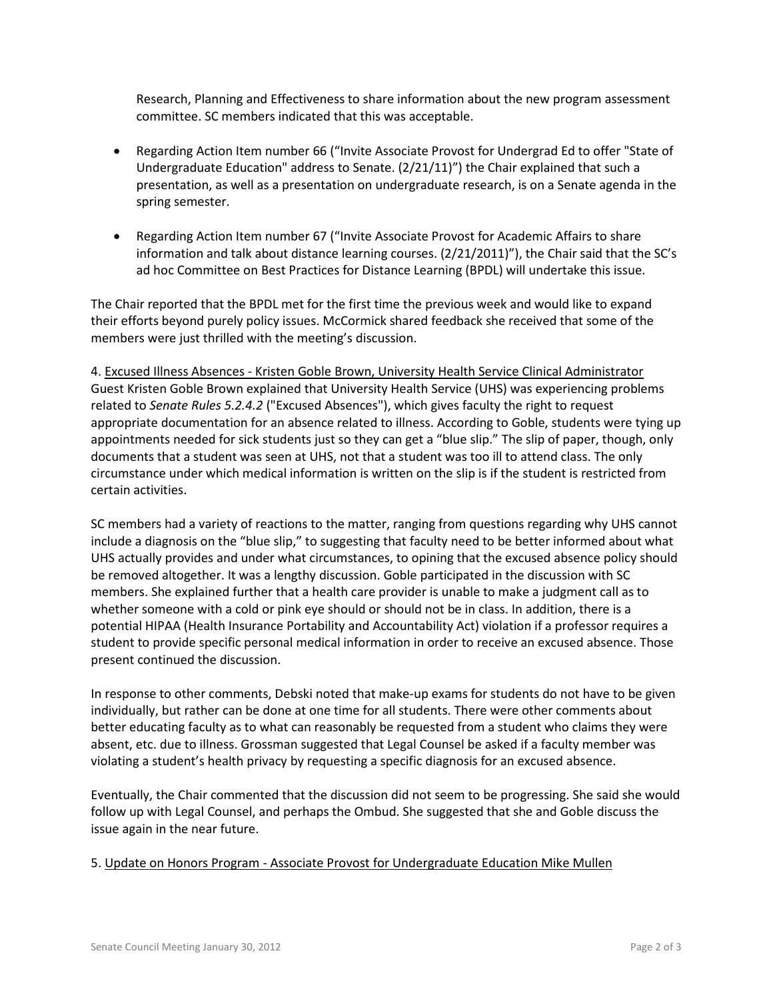Research, Planning and Effectiveness to share information about the new program assessment committee. SC members indicated that this was acceptable.

- Regarding Action Item number 66 ("Invite Associate Provost for Undergrad Ed to offer "State of Undergraduate Education" address to Senate. (2/21/11)") the Chair explained that such a presentation, as well as a presentation on undergraduate research, is on a Senate agenda in the spring semester.
- Regarding Action Item number 67 ("Invite Associate Provost for Academic Affairs to share information and talk about distance learning courses. (2/21/2011)"), the Chair said that the SC's ad hoc Committee on Best Practices for Distance Learning (BPDL) will undertake this issue.

The Chair reported that the BPDL met for the first time the previous week and would like to expand their efforts beyond purely policy issues. McCormick shared feedback she received that some of the members were just thrilled with the meeting's discussion.

4. Excused Illness Absences - Kristen Goble Brown, University Health Service Clinical Administrator Guest Kristen Goble Brown explained that University Health Service (UHS) was experiencing problems related to *Senate Rules 5.2.4.2* ("Excused Absences"), which gives faculty the right to request appropriate documentation for an absence related to illness. According to Goble, students were tying up appointments needed for sick students just so they can get a "blue slip." The slip of paper, though, only documents that a student was seen at UHS, not that a student was too ill to attend class. The only circumstance under which medical information is written on the slip is if the student is restricted from certain activities.

SC members had a variety of reactions to the matter, ranging from questions regarding why UHS cannot include a diagnosis on the "blue slip," to suggesting that faculty need to be better informed about what UHS actually provides and under what circumstances, to opining that the excused absence policy should be removed altogether. It was a lengthy discussion. Goble participated in the discussion with SC members. She explained further that a health care provider is unable to make a judgment call as to whether someone with a cold or pink eye should or should not be in class. In addition, there is a potential HIPAA (Health Insurance Portability and Accountability Act) violation if a professor requires a student to provide specific personal medical information in order to receive an excused absence. Those present continued the discussion.

In response to other comments, Debski noted that make-up exams for students do not have to be given individually, but rather can be done at one time for all students. There were other comments about better educating faculty as to what can reasonably be requested from a student who claims they were absent, etc. due to illness. Grossman suggested that Legal Counsel be asked if a faculty member was violating a student's health privacy by requesting a specific diagnosis for an excused absence.

Eventually, the Chair commented that the discussion did not seem to be progressing. She said she would follow up with Legal Counsel, and perhaps the Ombud. She suggested that she and Goble discuss the issue again in the near future.

# 5. Update on Honors Program - Associate Provost for Undergraduate Education Mike Mullen